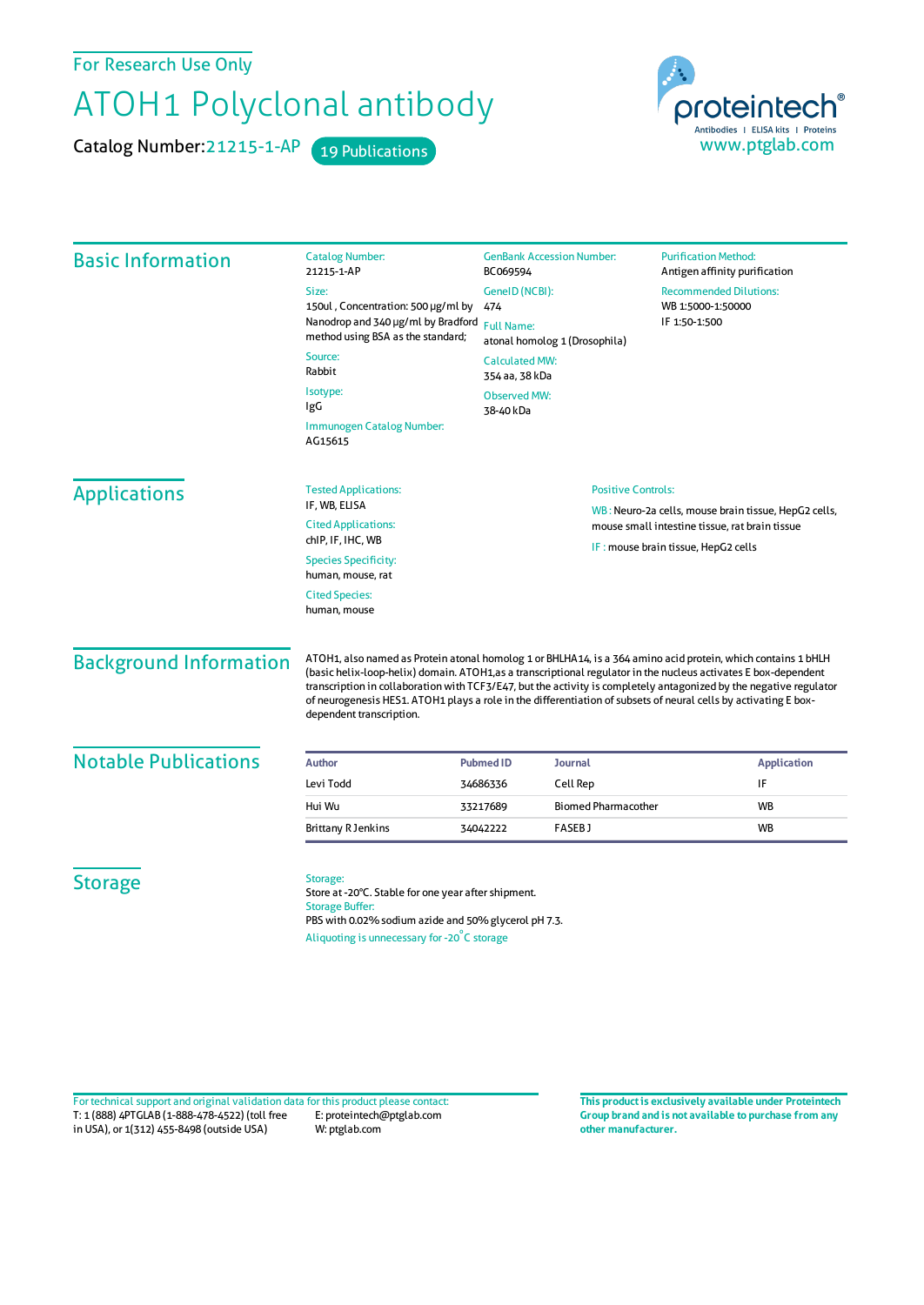For Research Use Only

## ATOH1 Polyclonal antibody

Catalog Number: 21215-1-AP 19 Publications



| <b>Basic Information</b>      | <b>Catalog Number:</b><br>21215-1-AP                                                                                                                                                                                                                                                                                                                                                                                                                                                                 | <b>GenBank Accession Number:</b><br>BC069594                                                                                                               |                            | <b>Purification Method:</b><br>Antigen affinity purification                                           |                    |
|-------------------------------|------------------------------------------------------------------------------------------------------------------------------------------------------------------------------------------------------------------------------------------------------------------------------------------------------------------------------------------------------------------------------------------------------------------------------------------------------------------------------------------------------|------------------------------------------------------------------------------------------------------------------------------------------------------------|----------------------------|--------------------------------------------------------------------------------------------------------|--------------------|
|                               | Size:<br>150ul, Concentration: 500 µg/ml by<br>Nanodrop and 340 µg/ml by Bradford<br>method using BSA as the standard;                                                                                                                                                                                                                                                                                                                                                                               | GenelD (NCBI):<br>474<br><b>Full Name:</b><br>atonal homolog 1 (Drosophila)<br><b>Calculated MW:</b><br>354 aa, 38 kDa<br><b>Observed MW:</b><br>38-40 kDa |                            | <b>Recommended Dilutions:</b><br>WB 1:5000-1:50000<br>IF 1:50-1:500                                    |                    |
|                               | Source:<br>Rabbit                                                                                                                                                                                                                                                                                                                                                                                                                                                                                    |                                                                                                                                                            |                            |                                                                                                        |                    |
|                               | Isotype:<br>IgG                                                                                                                                                                                                                                                                                                                                                                                                                                                                                      |                                                                                                                                                            |                            |                                                                                                        |                    |
|                               | Immunogen Catalog Number:<br>AG15615                                                                                                                                                                                                                                                                                                                                                                                                                                                                 |                                                                                                                                                            |                            |                                                                                                        |                    |
| <b>Applications</b>           | <b>Tested Applications:</b>                                                                                                                                                                                                                                                                                                                                                                                                                                                                          |                                                                                                                                                            | <b>Positive Controls:</b>  |                                                                                                        |                    |
|                               | IF, WB, ELISA<br><b>Cited Applications:</b><br>chIP, IF, IHC, WB                                                                                                                                                                                                                                                                                                                                                                                                                                     |                                                                                                                                                            |                            | WB: Neuro-2a cells, mouse brain tissue, HepG2 cells,<br>mouse small intestine tissue, rat brain tissue |                    |
|                               | <b>Species Specificity:</b><br>human, mouse, rat                                                                                                                                                                                                                                                                                                                                                                                                                                                     | IF: mouse brain tissue, HepG2 cells                                                                                                                        |                            |                                                                                                        |                    |
|                               | <b>Cited Species:</b><br>human, mouse                                                                                                                                                                                                                                                                                                                                                                                                                                                                |                                                                                                                                                            |                            |                                                                                                        |                    |
| <b>Background Information</b> | ATOH1, also named as Protein atonal homolog 1 or BHLHA14, is a 364 amino acid protein, which contains 1 bHLH<br>(basic helix-loop-helix) domain. ATOH1, as a transcriptional regulator in the nucleus activates E box-dependent<br>transcription in collaboration with TCF3/E47, but the activity is completely antagonized by the negative regulator<br>of neurogenesis HES1. ATOH1 plays a role in the differentiation of subsets of neural cells by activating E box-<br>dependent transcription. |                                                                                                                                                            |                            |                                                                                                        |                    |
| <b>Notable Publications</b>   | Author                                                                                                                                                                                                                                                                                                                                                                                                                                                                                               | <b>Pubmed ID</b>                                                                                                                                           | <b>Journal</b>             |                                                                                                        | <b>Application</b> |
|                               | Levi Todd                                                                                                                                                                                                                                                                                                                                                                                                                                                                                            | 34686336                                                                                                                                                   | Cell Rep                   |                                                                                                        | IF                 |
|                               | Hui Wu                                                                                                                                                                                                                                                                                                                                                                                                                                                                                               | 33217689                                                                                                                                                   | <b>Biomed Pharmacother</b> |                                                                                                        | <b>WB</b>          |
|                               | <b>Brittany R Jenkins</b>                                                                                                                                                                                                                                                                                                                                                                                                                                                                            | 34042222                                                                                                                                                   | <b>FASEBJ</b>              |                                                                                                        | <b>WB</b>          |
| <b>Storage</b>                | Storage:<br>Store at -20°C. Stable for one year after shipment.<br><b>Storage Buffer:</b><br>PBS with 0.02% sodium azide and 50% glycerol pH 7.3.<br>Aliquoting is unnecessary for -20°C storage                                                                                                                                                                                                                                                                                                     |                                                                                                                                                            |                            |                                                                                                        |                    |

T: 1 (888) 4PTGLAB (1-888-478-4522) (toll free in USA), or 1(312) 455-8498 (outside USA) E: proteintech@ptglab.com W: ptglab.com Fortechnical support and original validation data forthis product please contact: **This productis exclusively available under Proteintech**

**Group brand and is not available to purchase from any other manufacturer.**